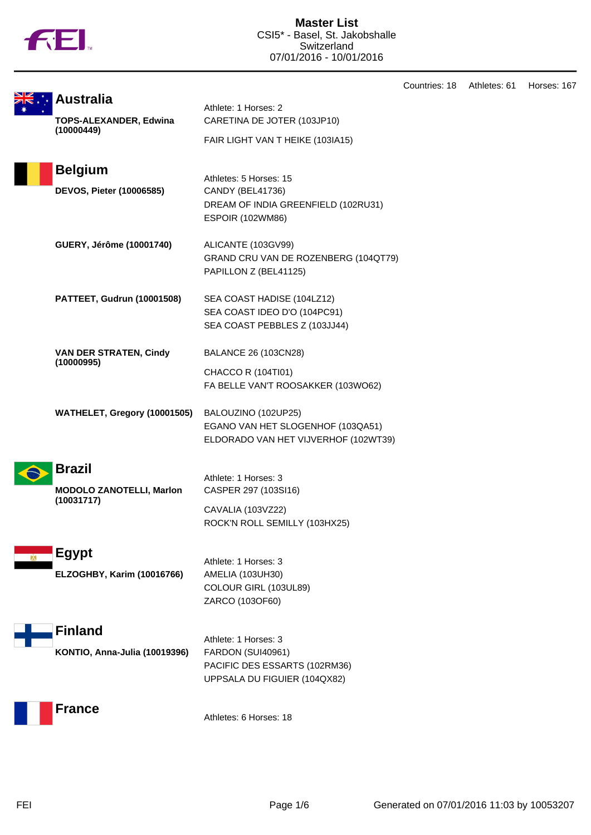

|                                                                 |                                                                                                              | Countries: 18 | Athletes: 61 | Horses: 167 |
|-----------------------------------------------------------------|--------------------------------------------------------------------------------------------------------------|---------------|--------------|-------------|
| <b>Australia</b><br><b>TOPS-ALEXANDER, Edwina</b><br>(10000449) | Athlete: 1 Horses: 2<br>CARETINA DE JOTER (103JP10)<br>FAIR LIGHT VAN T HEIKE (103IA15)                      |               |              |             |
| <b>Belgium</b><br><b>DEVOS, Pieter (10006585)</b>               | Athletes: 5 Horses: 15<br>CANDY (BEL41736)<br>DREAM OF INDIA GREENFIELD (102RU31)<br><b>ESPOIR (102WM86)</b> |               |              |             |
| GUERY, Jérôme (10001740)                                        | ALICANTE (103GV99)<br>GRAND CRU VAN DE ROZENBERG (104QT79)<br>PAPILLON Z (BEL41125)                          |               |              |             |
| PATTEET, Gudrun (10001508)                                      | SEA COAST HADISE (104LZ12)<br>SEA COAST IDEO D'O (104PC91)<br>SEA COAST PEBBLES Z (103JJ44)                  |               |              |             |
| <b>VAN DER STRATEN, Cindy</b><br>(10000995)                     | <b>BALANCE 26 (103CN28)</b><br>CHACCO R (104TI01)<br>FA BELLE VAN'T ROOSAKKER (103WO62)                      |               |              |             |
| WATHELET, Gregory (10001505)                                    | BALOUZINO (102UP25)<br>EGANO VAN HET SLOGENHOF (103QA51)<br>ELDORADO VAN HET VIJVERHOF (102WT39)             |               |              |             |
| <b>Brazil</b><br><b>MODOLO ZANOTELLI, Marlon</b><br>(10031717)  | Athlete: 1 Horses: 3<br>CASPER 297 (103SI16)<br>CAVALIA (103VZ22)<br>ROCK'N ROLL SEMILLY (103HX25)           |               |              |             |
| <b>Egypt</b><br>ELZOGHBY, Karim (10016766)                      | Athlete: 1 Horses: 3<br>AMELIA (103UH30)<br>COLOUR GIRL (103UL89)<br>ZARCO (103OF60)                         |               |              |             |
| <b>Finland</b><br>KONTIO, Anna-Julia (10019396)                 | Athlete: 1 Horses: 3<br>FARDON (SUI40961)<br>PACIFIC DES ESSARTS (102RM36)<br>UPPSALA DU FIGUIER (104QX82)   |               |              |             |
| <b>France</b>                                                   | Athletes: 6 Horses: 18                                                                                       |               |              |             |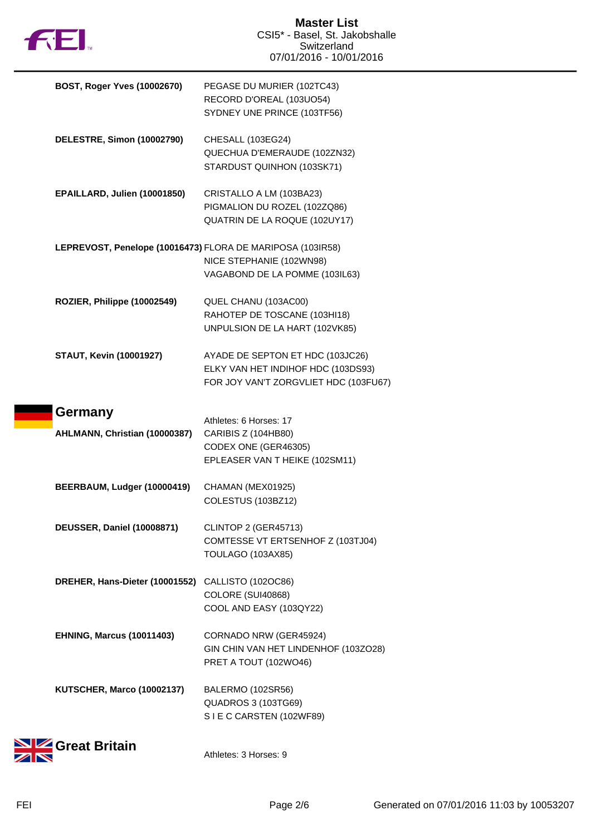

| BOST, Roger Yves (10002670)                                | PEGASE DU MURIER (102TC43)<br>RECORD D'OREAL (103UO54)<br>SYDNEY UNE PRINCE (103TF56)                           |
|------------------------------------------------------------|-----------------------------------------------------------------------------------------------------------------|
| DELESTRE, Simon (10002790)                                 | CHESALL (103EG24)<br>QUECHUA D'EMERAUDE (102ZN32)<br>STARDUST QUINHON (103SK71)                                 |
| EPAILLARD, Julien (10001850)                               | CRISTALLO A LM (103BA23)<br>PIGMALION DU ROZEL (102ZQ86)<br>QUATRIN DE LA ROQUE (102UY17)                       |
| LEPREVOST, Penelope (10016473) FLORA DE MARIPOSA (103IR58) | NICE STEPHANIE (102WN98)<br>VAGABOND DE LA POMME (103IL63)                                                      |
| ROZIER, Philippe (10002549)                                | QUEL CHANU (103AC00)<br>RAHOTEP DE TOSCANE (103HI18)<br>UNPULSION DE LA HART (102VK85)                          |
| <b>STAUT, Kevin (10001927)</b>                             | AYADE DE SEPTON ET HDC (103JC26)<br>ELKY VAN HET INDIHOF HDC (103DS93)<br>FOR JOY VAN'T ZORGVLIET HDC (103FU67) |
| Germany<br>AHLMANN, Christian (10000387)                   | Athletes: 6 Horses: 17<br>CARIBIS Z (104HB80)<br>CODEX ONE (GER46305)<br>EPLEASER VAN THEIKE (102SM11)          |
| BEERBAUM, Ludger (10000419)                                | CHAMAN (MEX01925)<br>COLESTUS (103BZ12)                                                                         |
| <b>DEUSSER, Daniel (10008871)</b>                          | CLINTOP 2 (GER45713)<br>COMTESSE VT ERTSENHOF Z (103TJ04)<br>TOULAGO (103AX85)                                  |
| DREHER, Hans-Dieter (10001552)                             | CALLISTO (102OC86)<br>COLORE (SUI40868)<br>COOL AND EASY (103QY22)                                              |
| <b>EHNING, Marcus (10011403)</b>                           | CORNADO NRW (GER45924)<br>GIN CHIN VAN HET LINDENHOF (103ZO28)<br>PRET A TOUT (102WO46)                         |
| KUTSCHER, Marco (10002137)                                 | BALERMO (102SR56)<br><b>QUADROS 3 (103TG69)</b><br>SIE C CARSTEN (102WF89)                                      |
| <b>Ze Great Britain</b>                                    | Athletes: 3 Horses: 9                                                                                           |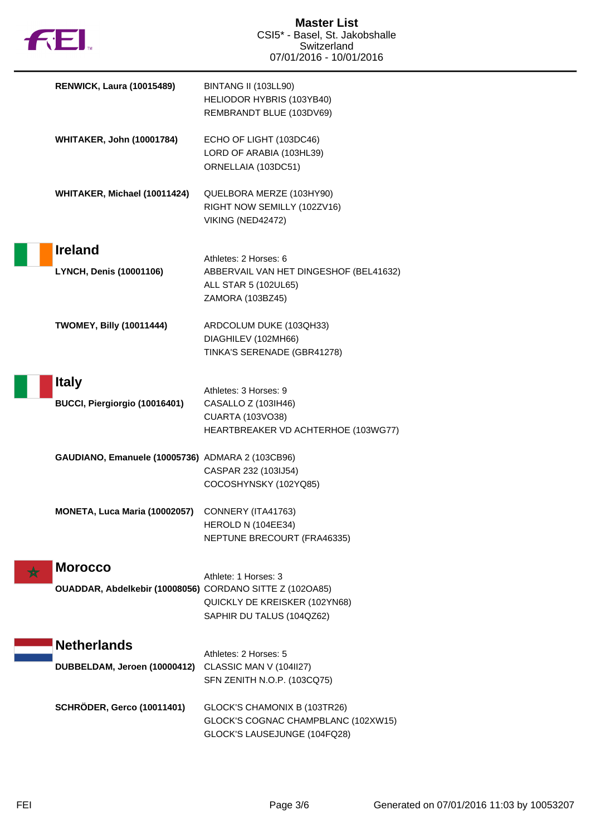

| <b>RENWICK, Laura (10015489)</b>                         | BINTANG II (103LL90)<br>HELIODOR HYBRIS (103YB40)<br>REMBRANDT BLUE (103DV69)                               |
|----------------------------------------------------------|-------------------------------------------------------------------------------------------------------------|
| <b>WHITAKER, John (10001784)</b>                         | ECHO OF LIGHT (103DC46)<br>LORD OF ARABIA (103HL39)<br>ORNELLAIA (103DC51)                                  |
| WHITAKER, Michael (10011424)                             | QUELBORA MERZE (103HY90)<br>RIGHT NOW SEMILLY (102ZV16)<br>VIKING (NED42472)                                |
| <b>Ireland</b>                                           |                                                                                                             |
| <b>LYNCH, Denis (10001106)</b>                           | Athletes: 2 Horses: 6<br>ABBERVAIL VAN HET DINGESHOF (BEL41632)<br>ALL STAR 5 (102UL65)<br>ZAMORA (103BZ45) |
| <b>TWOMEY, Billy (10011444)</b>                          | ARDCOLUM DUKE (103QH33)<br>DIAGHILEV (102MH66)<br>TINKA'S SERENADE (GBR41278)                               |
| <b>Italy</b>                                             |                                                                                                             |
| BUCCI, Piergiorgio (10016401)                            | Athletes: 3 Horses: 9<br>CASALLO Z (103IH46)                                                                |
|                                                          | <b>CUARTA (103VO38)</b><br>HEARTBREAKER VD ACHTERHOE (103WG77)                                              |
| GAUDIANO, Emanuele (10005736) ADMARA 2 (103CB96)         | CASPAR 232 (103IJ54)<br>COCOSHYNSKY (102YQ85)                                                               |
| MONETA, Luca Maria (10002057)                            | CONNERY (ITA41763)                                                                                          |
|                                                          | HEROLD N (104EE34)<br>NEPTUNE BRECOURT (FRA46335)                                                           |
| <b>Morocco</b>                                           |                                                                                                             |
| OUADDAR, Abdelkebir (10008056) CORDANO SITTE Z (102OA85) | Athlete: 1 Horses: 3                                                                                        |
|                                                          | QUICKLY DE KREISKER (102YN68)<br>SAPHIR DU TALUS (104QZ62)                                                  |
| <b>Netherlands</b>                                       |                                                                                                             |
| DUBBELDAM, Jeroen (10000412)                             | Athletes: 2 Horses: 5<br>CLASSIC MAN V (104II27)                                                            |
|                                                          | SFN ZENITH N.O.P. (103CQ75)                                                                                 |
| <b>SCHRÖDER, Gerco (10011401)</b>                        | GLOCK'S CHAMONIX B (103TR26)<br>GLOCK'S COGNAC CHAMPBLANC (102XW15)<br>GLOCK'S LAUSEJUNGE (104FQ28)         |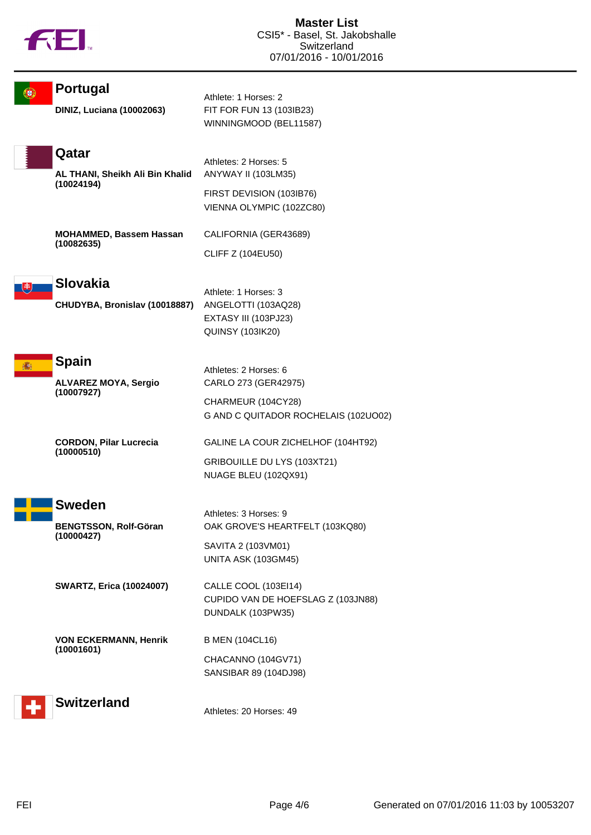

|   | <b>Portugal</b>                                           | Athlete: 1 Horses: 2                                                                                        |
|---|-----------------------------------------------------------|-------------------------------------------------------------------------------------------------------------|
|   | <b>DINIZ, Luciana (10002063)</b>                          | FIT FOR FUN 13 (103IB23)<br>WINNINGMOOD (BEL11587)                                                          |
|   | Qatar<br>AL THANI, Sheikh Ali Bin Khalid<br>(10024194)    | Athletes: 2 Horses: 5<br>ANYWAY II (103LM35)<br>FIRST DEVISION (103IB76)<br>VIENNA OLYMPIC (102ZC80)        |
|   | MOHAMMED, Bassem Hassan<br>(10082635)                     | CALIFORNIA (GER43689)<br><b>CLIFF Z (104EU50)</b>                                                           |
| 电 | <b>Slovakia</b><br>CHUDYBA, Bronislav (10018887)          | Athlete: 1 Horses: 3<br>ANGELOTTI (103AQ28)<br>EXTASY III (103PJ23)<br><b>QUINSY (103IK20)</b>              |
| 痛 | <b>Spain</b><br><b>ALVAREZ MOYA, Sergio</b><br>(10007927) | Athletes: 2 Horses: 6<br>CARLO 273 (GER42975)<br>CHARMEUR (104CY28)<br>G AND C QUITADOR ROCHELAIS (102UO02) |
|   | <b>CORDON, Pilar Lucrecia</b><br>(10000510)               | GALINE LA COUR ZICHELHOF (104HT92)<br>GRIBOUILLE DU LYS (103XT21)<br>NUAGE BLEU (102QX91)                   |
|   | <b>Sweden</b>                                             |                                                                                                             |
|   | <b>BENGTSSON, Rolf-Göran</b><br>(10000427)                | Athletes: 3 Horses: 9<br>OAK GROVE'S HEARTFELT (103KQ80)<br>SAVITA 2 (103VM01)<br>UNITA ASK (103GM45)       |
|   | <b>SWARTZ, Erica (10024007)</b>                           | CALLE COOL (103EI14)<br>CUPIDO VAN DE HOEFSLAG Z (103JN88)<br>DUNDALK (103PW35)                             |
|   | <b>VON ECKERMANN, Henrik</b><br>(10001601)                | <b>B MEN (104CL16)</b><br>CHACANNO (104GV71)<br>SANSIBAR 89 (104DJ98)                                       |
|   | <b>Switzerland</b>                                        | Athletes: 20 Horses: 49                                                                                     |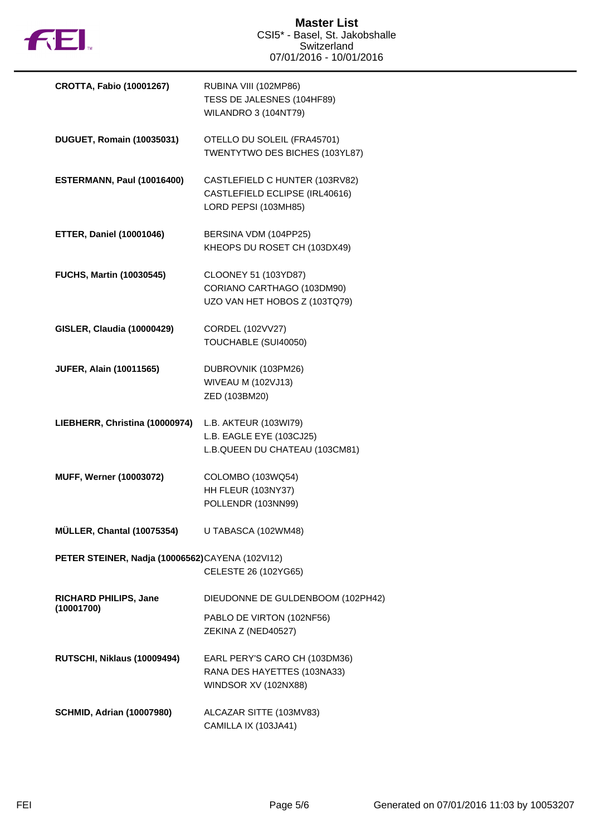

| <b>CROTTA, Fabio (10001267)</b>                 | RUBINA VIII (102MP86)<br>TESS DE JALESNES (104HF89)<br><b>WILANDRO 3 (104NT79)</b>       |
|-------------------------------------------------|------------------------------------------------------------------------------------------|
| <b>DUGUET, Romain (10035031)</b>                | OTELLO DU SOLEIL (FRA45701)<br>TWENTYTWO DES BICHES (103YL87)                            |
| ESTERMANN, Paul (10016400)                      | CASTLEFIELD C HUNTER (103RV82)<br>CASTLEFIELD ECLIPSE (IRL40616)<br>LORD PEPSI (103MH85) |
| <b>ETTER, Daniel (10001046)</b>                 | BERSINA VDM (104PP25)<br>KHEOPS DU ROSET CH (103DX49)                                    |
| <b>FUCHS, Martin (10030545)</b>                 | CLOONEY 51 (103YD87)<br>CORIANO CARTHAGO (103DM90)<br>UZO VAN HET HOBOS Z (103TQ79)      |
| <b>GISLER, Claudia (10000429)</b>               | CORDEL (102VV27)<br>TOUCHABLE (SUI40050)                                                 |
| <b>JUFER, Alain (10011565)</b>                  | DUBROVNIK (103PM26)<br><b>WIVEAU M (102VJ13)</b><br>ZED (103BM20)                        |
| LIEBHERR, Christina (10000974)                  | L.B. AKTEUR (103WI79)<br>L.B. EAGLE EYE (103CJ25)<br>L.B.QUEEN DU CHATEAU (103CM81)      |
| MUFF, Werner (10003072)                         | COLOMBO (103WQ54)<br>HH FLEUR (103NY37)<br>POLLENDR (103NN99)                            |
| MÜLLER, Chantal (10075354)                      | U TABASCA (102WM48)                                                                      |
| PETER STEINER, Nadja (10006562)CAYENA (102VI12) | CELESTE 26 (102YG65)                                                                     |
| RICHARD PHILIPS, Jane<br>(10001700)             | DIEUDONNE DE GULDENBOOM (102PH42)                                                        |
|                                                 | PABLO DE VIRTON (102NF56)<br>ZEKINA Z (NED40527)                                         |
| RUTSCHI, Niklaus (10009494)                     | EARL PERY'S CARO CH (103DM36)<br>RANA DES HAYETTES (103NA33)<br>WINDSOR XV (102NX88)     |
| <b>SCHMID, Adrian (10007980)</b>                | ALCAZAR SITTE (103MV83)<br>CAMILLA IX (103JA41)                                          |